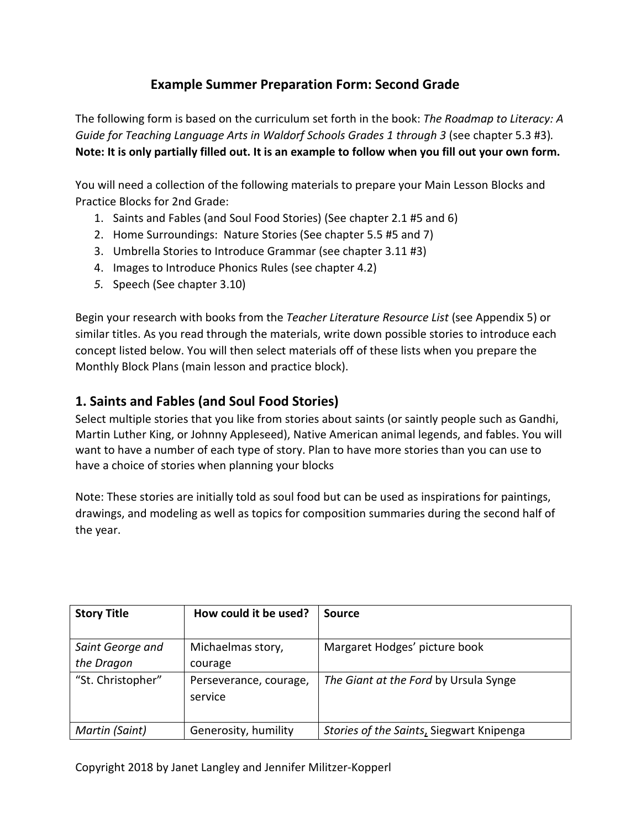# **Example Summer Preparation Form: Second Grade**

The following form is based on the curriculum set forth in the book: *The Roadmap to Literacy: A Guide for Teaching Language Arts in Waldorf Schools Grades 1 through 3* (see chapter 5.3 #3)*.*  **Note: It is only partially filled out. It is an example to follow when you fill out your own form.**

You will need a collection of the following materials to prepare your Main Lesson Blocks and Practice Blocks for 2nd Grade:

- 1. Saints and Fables (and Soul Food Stories) (See chapter 2.1 #5 and 6)
- 2. Home Surroundings: Nature Stories (See chapter 5.5 #5 and 7)
- 3. Umbrella Stories to Introduce Grammar (see chapter 3.11 #3)
- 4. Images to Introduce Phonics Rules (see chapter 4.2)
- *5.* Speech (See chapter 3.10)

Begin your research with books from the *Teacher Literature Resource List* (see Appendix 5) or similar titles. As you read through the materials, write down possible stories to introduce each concept listed below. You will then select materials off of these lists when you prepare the Monthly Block Plans (main lesson and practice block).

# **1. Saints and Fables (and Soul Food Stories)**

Select multiple stories that you like from stories about saints (or saintly people such as Gandhi, Martin Luther King, or Johnny Appleseed), Native American animal legends, and fables. You will want to have a number of each type of story. Plan to have more stories than you can use to have a choice of stories when planning your blocks

Note: These stories are initially told as soul food but can be used as inspirations for paintings, drawings, and modeling as well as topics for composition summaries during the second half of the year.

| <b>Story Title</b>             | How could it be used?             | Source                                   |
|--------------------------------|-----------------------------------|------------------------------------------|
| Saint George and<br>the Dragon | Michaelmas story,<br>courage      | Margaret Hodges' picture book            |
| "St. Christopher"              | Perseverance, courage,<br>service | The Giant at the Ford by Ursula Synge    |
| Martin (Saint)                 | Generosity, humility              | Stories of the Saints, Siegwart Knipenga |

Copyright 2018 by Janet Langley and Jennifer Militzer-Kopperl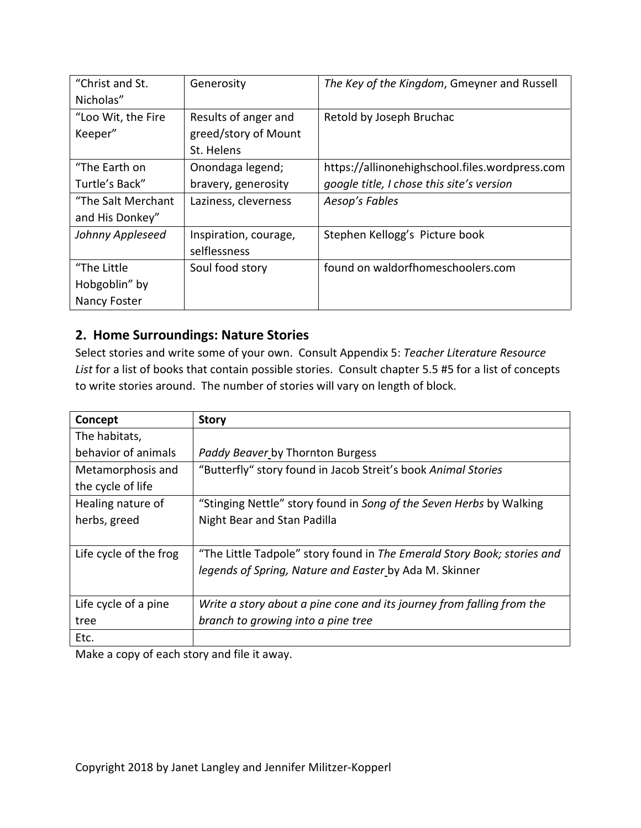| "Christ and St.<br>Nicholas" | Generosity            | The Key of the Kingdom, Gmeyner and Russell    |
|------------------------------|-----------------------|------------------------------------------------|
| "Loo Wit, the Fire           | Results of anger and  |                                                |
|                              |                       | Retold by Joseph Bruchac                       |
| Keeper"                      | greed/story of Mount  |                                                |
|                              | St. Helens            |                                                |
| "The Earth on                | Onondaga legend;      | https://allinonehighschool.files.wordpress.com |
| Turtle's Back"               | bravery, generosity   | google title, I chose this site's version      |
| "The Salt Merchant           | Laziness, cleverness  | Aesop's Fables                                 |
| and His Donkey"              |                       |                                                |
| Johnny Appleseed             | Inspiration, courage, | Stephen Kellogg's Picture book                 |
|                              | selflessness          |                                                |
| "The Little                  | Soul food story       | found on waldorfhomeschoolers.com              |
| Hobgoblin" by                |                       |                                                |
| Nancy Foster                 |                       |                                                |

## **2. Home Surroundings: Nature Stories**

Select stories and write some of your own. Consult Appendix 5: *Teacher Literature Resource List* for a list of books that contain possible stories. Consult chapter 5.5 #5 for a list of concepts to write stories around. The number of stories will vary on length of block.

| Concept                | <b>Story</b>                                                            |
|------------------------|-------------------------------------------------------------------------|
| The habitats,          |                                                                         |
| behavior of animals    | Paddy Beaver by Thornton Burgess                                        |
| Metamorphosis and      | "Butterfly" story found in Jacob Streit's book Animal Stories           |
| the cycle of life      |                                                                         |
| Healing nature of      | "Stinging Nettle" story found in Song of the Seven Herbs by Walking     |
| herbs, greed           | Night Bear and Stan Padilla                                             |
|                        |                                                                         |
| Life cycle of the frog | "The Little Tadpole" story found in The Emerald Story Book; stories and |
|                        | legends of Spring, Nature and Easter by Ada M. Skinner                  |
|                        |                                                                         |
| Life cycle of a pine   | Write a story about a pine cone and its journey from falling from the   |
| tree                   | branch to growing into a pine tree                                      |
| Etc.                   |                                                                         |

Make a copy of each story and file it away.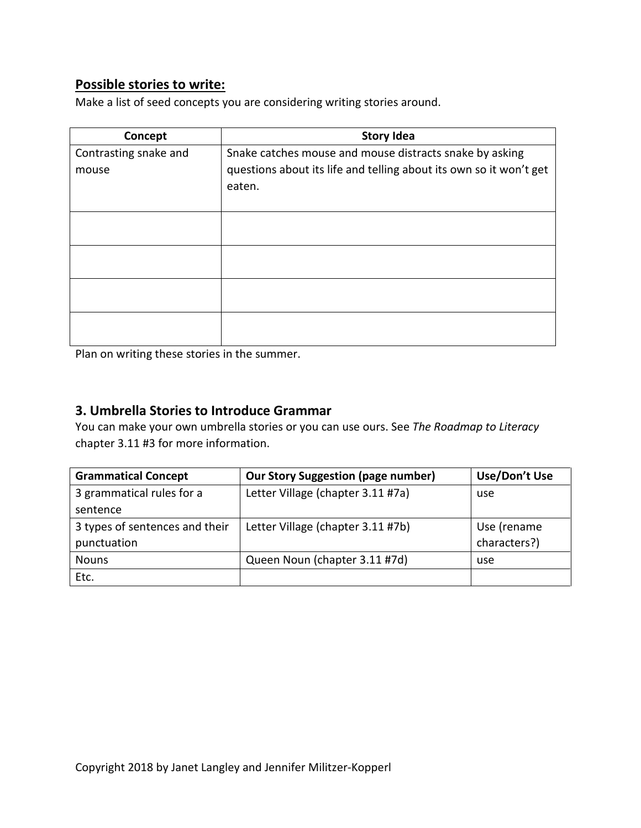## **Possible stories to write:**

Make a list of seed concepts you are considering writing stories around.

| Concept               | <b>Story Idea</b>                                                  |
|-----------------------|--------------------------------------------------------------------|
| Contrasting snake and | Snake catches mouse and mouse distracts snake by asking            |
| mouse                 | questions about its life and telling about its own so it won't get |
|                       | eaten.                                                             |
|                       |                                                                    |
|                       |                                                                    |
|                       |                                                                    |
|                       |                                                                    |
|                       |                                                                    |
|                       |                                                                    |
|                       |                                                                    |
|                       |                                                                    |
|                       |                                                                    |

Plan on writing these stories in the summer.

#### **3. Umbrella Stories to Introduce Grammar**

You can make your own umbrella stories or you can use ours. See *The Roadmap to Literacy*  chapter 3.11 #3 for more information.

| <b>Grammatical Concept</b>     | <b>Our Story Suggestion (page number)</b> | Use/Don't Use |
|--------------------------------|-------------------------------------------|---------------|
| 3 grammatical rules for a      | Letter Village (chapter 3.11 #7a)         | use           |
| sentence                       |                                           |               |
| 3 types of sentences and their | Letter Village (chapter 3.11 #7b)         | Use (rename   |
| punctuation                    |                                           | characters?)  |
| <b>Nouns</b>                   | Queen Noun (chapter 3.11 #7d)             | use           |
| Etc.                           |                                           |               |